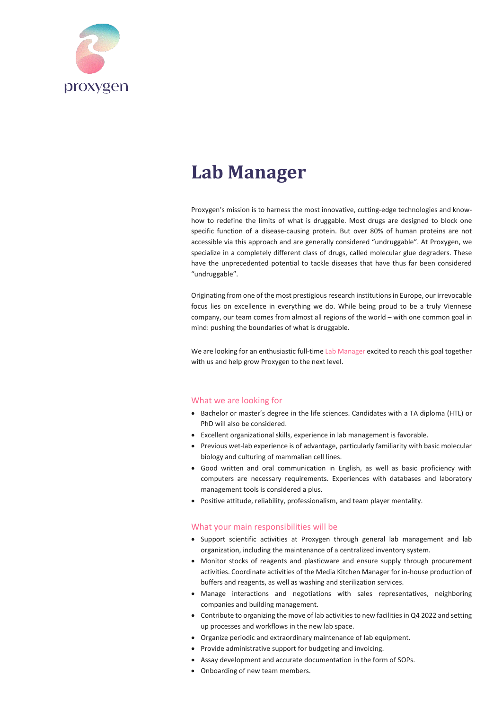

# **Lab Manager**

Proxygen's mission is to harness the most innovative, cutting-edge technologies and knowhow to redefine the limits of what is druggable. Most drugs are designed to block one specific function of a disease-causing protein. But over 80% of human proteins are not accessible via this approach and are generally considered "undruggable". At Proxygen, we specialize in a completely different class of drugs, called molecular glue degraders. These have the unprecedented potential to tackle diseases that have thus far been considered "undruggable".

Originating from one of the most prestigious research institutions in Europe, our irrevocable focus lies on excellence in everything we do. While being proud to be a truly Viennese company, our team comes from almost all regions of the world – with one common goal in mind: pushing the boundaries of what is druggable.

We are looking for an enthusiastic full-time Lab Manager excited to reach this goal together with us and help grow Proxygen to the next level.

### What we are looking for

- Bachelor or master's degree in the life sciences. Candidates with a TA diploma (HTL) or PhD will also be considered.
- Excellent organizational skills, experience in lab management is favorable.
- Previous wet-lab experience is of advantage, particularly familiarity with basic molecular biology and culturing of mammalian cell lines.
- Good written and oral communication in English, as well as basic proficiency with computers are necessary requirements. Experiences with databases and laboratory management tools is considered a plus.
- Positive attitude, reliability, professionalism, and team player mentality.

#### What your main responsibilities will be

- Support scientific activities at Proxygen through general lab management and lab organization, including the maintenance of a centralized inventory system.
- Monitor stocks of reagents and plasticware and ensure supply through procurement activities. Coordinate activities of the Media Kitchen Manager for in-house production of buffers and reagents, as well as washing and sterilization services.
- Manage interactions and negotiations with sales representatives, neighboring companies and building management.
- Contribute to organizing the move of lab activities to new facilities in Q4 2022 and setting up processes and workflows in the new lab space.
- Organize periodic and extraordinary maintenance of lab equipment.
- Provide administrative support for budgeting and invoicing.
- Assay development and accurate documentation in the form of SOPs.
- Onboarding of new team members.